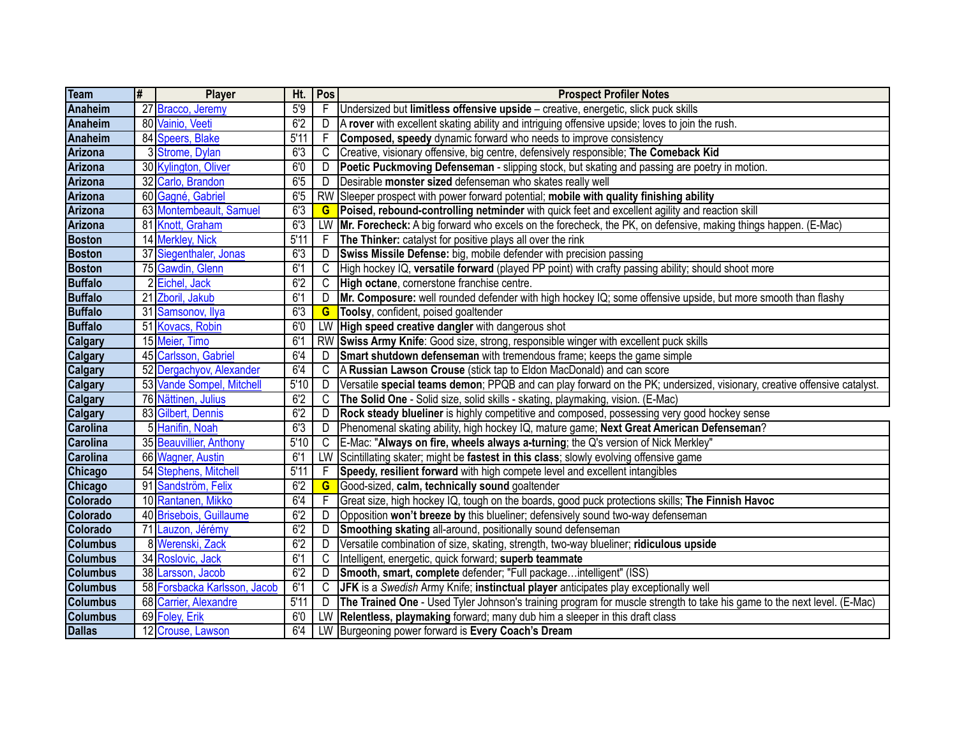| Team            | l# | <b>Player</b>                | Ht.  | Pos       | <b>Prospect Profiler Notes</b>                                                                                          |
|-----------------|----|------------------------------|------|-----------|-------------------------------------------------------------------------------------------------------------------------|
| Anaheim         |    | 27 Bracco, Jeremy            | 5'9  |           | Undersized but limitless offensive upside - creative, energetic, slick puck skills                                      |
| Anaheim         |    | 80 Vainio, Veeti             | 6'2  | D         | A rover with excellent skating ability and intriguing offensive upside; loves to join the rush.                         |
| Anaheim         |    | 84 Speers, Blake             | 5'11 | -F        | Composed, speedy dynamic forward who needs to improve consistency                                                       |
| Arizona         |    | 3 Strome, Dylan              | 6'3  | C         | Creative, visionary offensive, big centre, defensively responsible; The Comeback Kid                                    |
| <b>Arizona</b>  |    | 30 Kylington, Oliver         | 6'0  | D         | Poetic Puckmoving Defenseman - slipping stock, but skating and passing are poetry in motion.                            |
| Arizona         |    | 32 Carlo, Brandon            | 6'5  | D         | Desirable monster sized defenseman who skates really well                                                               |
| Arizona         |    | 60 Gagné, Gabriel            | 65   | <b>RW</b> | Sleeper prospect with power forward potential; mobile with quality finishing ability                                    |
| Arizona         |    | 63 Montembeault, Samuel      | 63   | G         | Poised, rebound-controlling netminder with quick feet and excellent agility and reaction skill                          |
| Arizona         |    | 81 Knott, Graham             | 6'3  | LW        | [Mr. Forecheck: A big forward who excels on the forecheck, the PK, on defensive, making things happen. (E-Mac)          |
| <b>Boston</b>   |    | 14 Merkley, Nick             | 5'11 | F         | The Thinker: catalyst for positive plays all over the rink                                                              |
| <b>Boston</b>   |    | 37 Siegenthaler, Jonas       | 6'3  | D         | Swiss Missile Defense: big, mobile defender with precision passing                                                      |
| <b>Boston</b>   |    | 75 Gawdin, Glenn             | 6'1  | C         | High hockey IQ, versatile forward (played PP point) with crafty passing ability; should shoot more                      |
| <b>Buffalo</b>  |    | 2Eichel, Jack                | 6'2  | C         | High octane, cornerstone franchise centre.                                                                              |
| <b>Buffalo</b>  |    | 21 Zboril, Jakub             | 6'1  | D         | Mr. Composure: well rounded defender with high hockey IQ; some offensive upside, but more smooth than flashy            |
| <b>Buffalo</b>  |    | 31 Samsonov, Ilya            | 6'3  | G         | Toolsy, confident, poised goaltender                                                                                    |
| <b>Buffalo</b>  |    | 51 Kovacs, Robin             | 60   | LW        | High speed creative dangler with dangerous shot                                                                         |
| <b>Calgary</b>  |    | 15 Meier, Timo               | 6'1  | <b>RW</b> | Swiss Army Knife: Good size, strong, responsible winger with excellent puck skills                                      |
| <b>Calgary</b>  |    | 45 Carlsson, Gabriel         | 6'4  | D         | Smart shutdown defenseman with tremendous frame; keeps the game simple                                                  |
| Calgary         |    | 52 Dergachyov, Alexander     | 6'4  | C         | A Russian Lawson Crouse (stick tap to Eldon MacDonald) and can score                                                    |
| <b>Calgary</b>  |    | 53 Vande Sompel, Mitchell    | 5'10 | D         | Versatile special teams demon; PPQB and can play forward on the PK; undersized, visionary, creative offensive catalyst. |
| <b>Calgary</b>  |    | 76 Nättinen, Julius          | 6'2  | C         | The Solid One - Solid size, solid skills - skating, playmaking, vision. (E-Mac)                                         |
| <b>Calgary</b>  |    | 83 Gilbert, Dennis           | 6'2  | D         | Rock steady blueliner is highly competitive and composed, possessing very good hockey sense                             |
| <b>Carolina</b> |    | 5 Hanifin, Noah              | 6'3  | D         | Phenomenal skating ability, high hockey IQ, mature game; Next Great American Defenseman?                                |
| <b>Carolina</b> |    | 35 Beauvillier, Anthony      | 5'10 | C         | E-Mac: "Always on fire, wheels always a-turning; the Q's version of Nick Merkley"                                       |
| <b>Carolina</b> |    | 66 Wagner, Austin            | 6'1  | LW        | Scintillating skater; might be fastest in this class; slowly evolving offensive game                                    |
| <b>Chicago</b>  |    | 54 Stephens, Mitchell        | 5'11 |           | Speedy, resilient forward with high compete level and excellent intangibles                                             |
| <b>Chicago</b>  |    | 91 Sandström, Felix          | 6'2  | G         | Good-sized, calm, technically sound goaltender                                                                          |
| Colorado        |    | 10 Rantanen, Mikko           | 6'4  |           | Great size, high hockey IQ, tough on the boards, good puck protections skills; The Finnish Havoc                        |
| Colorado        |    | 40 Brisebois, Guillaume      | 6'2  | D         | Opposition won't breeze by this blueliner; defensively sound two-way defenseman                                         |
| Colorado        |    | 71 Lauzon, Jérémy            | 6'2  | D         | Smoothing skating all-around, positionally sound defenseman                                                             |
| <b>Columbus</b> |    | 8 Werenski, Zack             | 6'2  | D         | Versatile combination of size, skating, strength, two-way blueliner; ridiculous upside                                  |
| <b>Columbus</b> |    | 34 Roslovic, Jack            | 6'1  | C         | Intelligent, energetic, quick forward; superb teammate                                                                  |
| <b>Columbus</b> |    | 38 Larsson, Jacob            | 6'2  | D         | Smooth, smart, complete defender; "Full packageintelligent" (ISS)                                                       |
| <b>Columbus</b> |    | 58 Forsbacka Karlsson, Jacob | 6'1  | C         | JFK is a Swedish Army Knife; instinctual player anticipates play exceptionally well                                     |
| <b>Columbus</b> |    | 68 Carrier, Alexandre        | 5'11 | D         | The Trained One - Used Tyler Johnson's training program for muscle strength to take his game to the next level. (E-Mac) |
| <b>Columbus</b> |    | 69 Foley, Erik               | 6'0  | LW        | Relentless, playmaking forward; many dub him a sleeper in this draft class                                              |
| <b>Dallas</b>   |    | 12 Crouse, Lawson            | 6'4  | LW        | Burgeoning power forward is Every Coach's Dream                                                                         |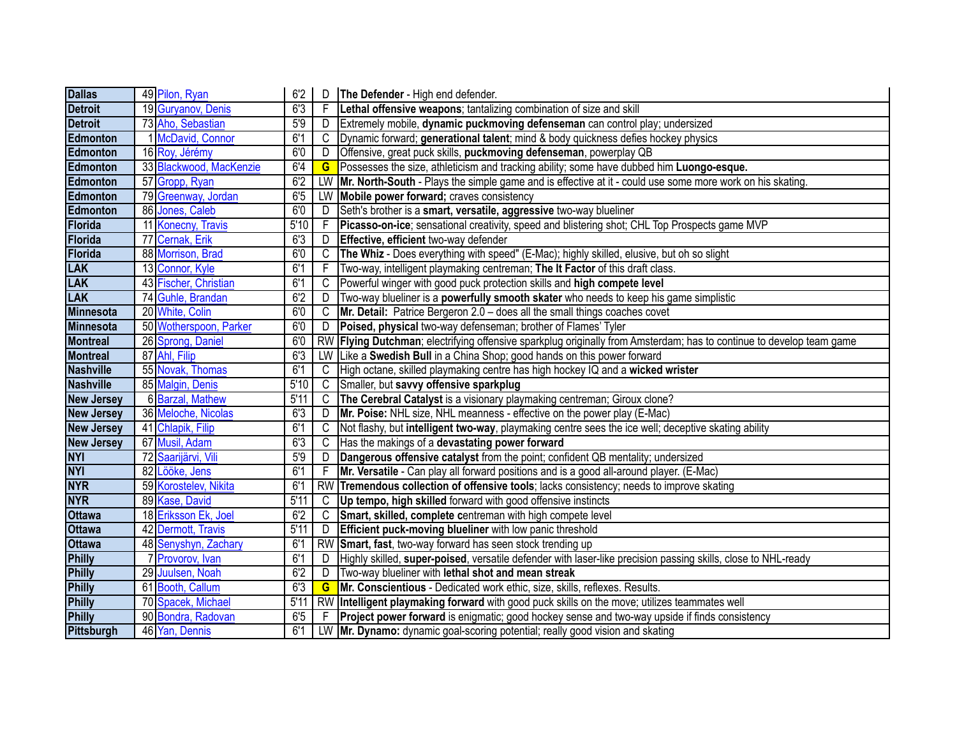| <b>Dallas</b>     | 49 Pilon, Ryan          | 6'2  | D         | The Defender - High end defender.                                                                                 |
|-------------------|-------------------------|------|-----------|-------------------------------------------------------------------------------------------------------------------|
| <b>Detroit</b>    | 19 Guryanov, Denis      | 6'3  | -F        | Lethal offensive weapons; tantalizing combination of size and skill                                               |
| <b>Detroit</b>    | 73 Aho, Sebastian       | 5'9  | D         | Extremely mobile, dynamic puckmoving defenseman can control play; undersized                                      |
| Edmonton          | 1 McDavid, Connor       | 6'1  | C         | Dynamic forward; generational talent; mind & body quickness defies hockey physics                                 |
| Edmonton          | 16 Roy, Jérémy          | 60   | D         | Offensive, great puck skills, puckmoving defenseman, powerplay QB                                                 |
| Edmonton          | 33 Blackwood, MacKenzie | 6'4  | G         | Possesses the size, athleticism and tracking ability; some have dubbed him Luongo-esque.                          |
| Edmonton          | 57 Gropp, Ryan          | 6'2  | LW        | Mr. North-South - Plays the simple game and is effective at it - could use some more work on his skating.         |
| Edmonton          | 79 Greenway, Jordan     | 6'5  | LW        | Mobile power forward; craves consistency                                                                          |
| Edmonton          | 86 Jones, Caleb         | 60   | D         | Seth's brother is a smart, versatile, aggressive two-way blueliner                                                |
| Florida           | 11 Konecny, Travis      | 5'10 | F         | Picasso-on-ice; sensational creativity, speed and blistering shot; CHL Top Prospects game MVP                     |
| Florida           | 77 Cernak, Erik         | 6'3  | D         | Effective, efficient two-way defender                                                                             |
| Florida           | 88 Morrison, Brad       | 6'0  | C         | The Whiz - Does everything with speed" (E-Mac); highly skilled, elusive, but oh so slight                         |
| <b>LAK</b>        | 13 Connor, Kyle         | 6'1  | -F        | Two-way, intelligent playmaking centreman; The It Factor of this draft class.                                     |
| <b>LAK</b>        | 43 Fischer, Christian   | 6'1  | C         | Powerful winger with good puck protection skills and high compete level                                           |
| <b>LAK</b>        | 74 Guhle, Brandan       | 6'2  | D         | Two-way blueliner is a powerfully smooth skater who needs to keep his game simplistic                             |
| <b>Minnesota</b>  | 20 White, Colin         | 60   | C         | Mr. Detail: Patrice Bergeron 2.0 - does all the small things coaches covet                                        |
| <b>Minnesota</b>  | 50 Wotherspoon, Parker  | 60   | D         | Poised, physical two-way defenseman; brother of Flames' Tyler                                                     |
| <b>Montreal</b>   | 26 Sprong, Daniel       | 60   | <b>RW</b> | Flying Dutchman; electrifying offensive sparkplug originally from Amsterdam; has to continue to develop team game |
| <b>Montreal</b>   | 87 Ahl, Filip           | 6'3  | LW        | Like a Swedish Bull in a China Shop; good hands on this power forward                                             |
| <b>Nashville</b>  | 55 Novak, Thomas        | 6'1  | C         | High octane, skilled playmaking centre has high hockey IQ and a wicked wrister                                    |
| Nashville         | 85 Malgin, Denis        | 5'10 | C         | Smaller, but savvy offensive sparkplug                                                                            |
| <b>New Jersey</b> | 6 Barzal, Mathew        | 5'11 | C         | The Cerebral Catalyst is a visionary playmaking centreman; Giroux clone?                                          |
| <b>New Jersey</b> | 36 Meloche, Nicolas     | 6'3  | D         | Mr. Poise: NHL size, NHL meanness - effective on the power play (E-Mac)                                           |
| <b>New Jersey</b> | 41 Chlapik, Filip       | 6'1  | C         | Not flashy, but intelligent two-way, playmaking centre sees the ice well; deceptive skating ability               |
| <b>New Jersey</b> | 67 Musil, Adam          | 6'3  | C         | Has the makings of a devastating power forward                                                                    |
| <b>NYI</b>        | 72 Saarijärvi, Vili     | 5'9  | D         | Dangerous offensive catalyst from the point; confident QB mentality; undersized                                   |
| <b>NYI</b>        | 82 Lööke, Jens          | 6'1  |           | Mr. Versatile - Can play all forward positions and is a good all-around player. (E-Mac)                           |
| <b>NYR</b>        | 59 Korostelev, Nikita   | 6'1  | <b>RW</b> | Tremendous collection of offensive tools; lacks consistency; needs to improve skating                             |
| <b>NYR</b>        | 89 Kase, David          | 5'11 | C         | Up tempo, high skilled forward with good offensive instincts                                                      |
| <b>Ottawa</b>     | 18 Eriksson Ek, Joel    | 6'2  | C         | Smart, skilled, complete centreman with high compete level                                                        |
| <b>Ottawa</b>     | 42 Dermott, Travis      | 5'11 | D         | Efficient puck-moving blueliner with low panic threshold                                                          |
| <b>Ottawa</b>     | 48 Senyshyn, Zachary    | 6'1  | <b>RW</b> | Smart, fast, two-way forward has seen stock trending up                                                           |
| <b>Philly</b>     | 7 Provorov, Ivan        | 6'1  | D         | Highly skilled, super-poised, versatile defender with laser-like precision passing skills, close to NHL-ready     |
| <b>Philly</b>     | 29 Juulsen, Noah        | 6'2  | D         | Two-way blueliner with lethal shot and mean streak                                                                |
| <b>Philly</b>     | 61 Booth, Callum        | 6'3  | G         | Mr. Conscientious - Dedicated work ethic, size, skills, reflexes. Results.                                        |
| <b>Philly</b>     | 70 Spacek, Michael      | 5'11 | <b>RW</b> | Intelligent playmaking forward with good puck skills on the move; utilizes teammates well                         |
| <b>Philly</b>     | 90 Bondra, Radovan      | 6'5  |           | Project power forward is enigmatic; good hockey sense and two-way upside if finds consistency                     |
| Pittsburgh        | 46 Yan, Dennis          | 6'1  | LW        | <b>Mr. Dynamo:</b> dynamic goal-scoring potential; really good vision and skating                                 |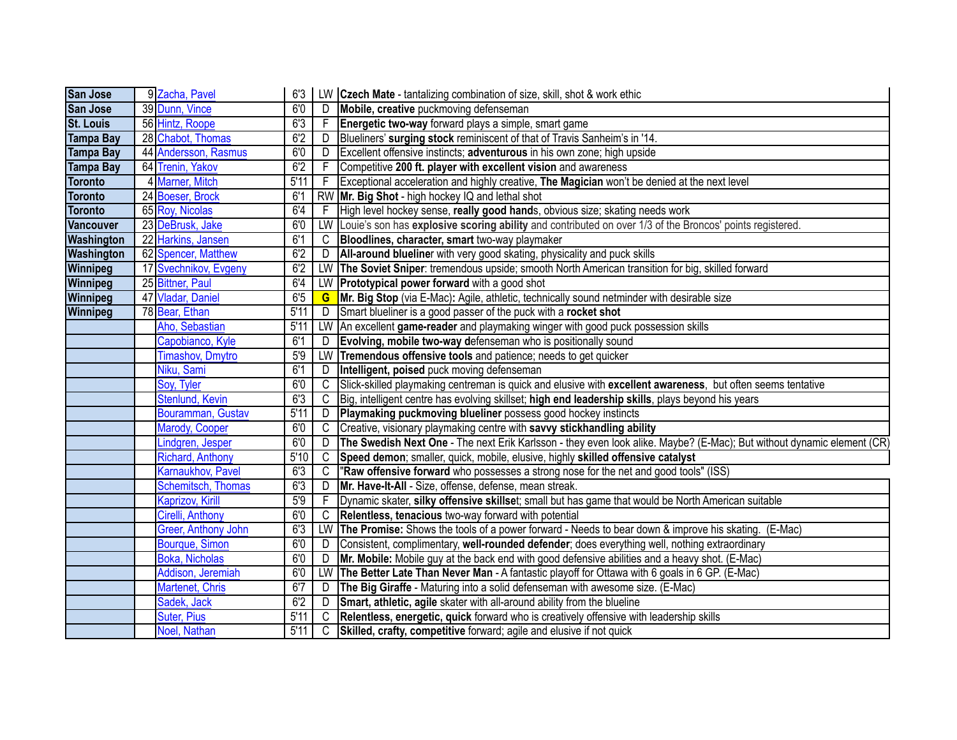| San Jose         | 9 Zacha, Pavel          | 6'3  |              | LW Czech Mate - tantalizing combination of size, skill, shot & work ethic                                              |
|------------------|-------------------------|------|--------------|------------------------------------------------------------------------------------------------------------------------|
| San Jose         | 39 Dunn, Vince          | 60   | D            | Mobile, creative puckmoving defenseman                                                                                 |
| <b>St. Louis</b> | 56 Hintz, Roope         | 6'3  | -F           | Energetic two-way forward plays a simple, smart game                                                                   |
| <b>Tampa Bay</b> | 28 Chabot, Thomas       | 6'2  | D            | Blueliners' surging stock reminiscent of that of Travis Sanheim's in '14.                                              |
| <b>Tampa Bay</b> | 44 Andersson, Rasmus    | 6'0  | D            | Excellent offensive instincts; adventurous in his own zone; high upside                                                |
| <b>Tampa Bay</b> | 64 Trenin, Yakov        | 6'2  | - F          | Competitive 200 ft. player with excellent vision and awareness                                                         |
| <b>Toronto</b>   | 4 Marner, Mitch         | 5'11 | $\mathsf{F}$ | Exceptional acceleration and highly creative, The Magician won't be denied at the next level                           |
| <b>Toronto</b>   | 24 Boeser, Brock        | 6'1  |              | RW   Mr. Big Shot - high hockey IQ and lethal shot                                                                     |
| <b>Toronto</b>   | 65 Roy, Nicolas         | 6'4  | -F           | High level hockey sense, really good hands, obvious size; skating needs work                                           |
| <b>Vancouver</b> | 23 DeBrusk, Jake        | 6'0  | LW           | Louie's son has explosive scoring ability and contributed on over 1/3 of the Broncos' points registered.               |
| Washington       | 22 Harkins, Jansen      | 6'1  | C            | Bloodlines, character, smart two-way playmaker                                                                         |
| Washington       | 62 Spencer, Matthew     | 6'2  | D            | All-around blueliner with very good skating, physicality and puck skills                                               |
| Winnipeg         | 17 Svechnikov, Evgeny   | 6'2  |              | LW The Soviet Sniper: tremendous upside; smooth North American transition for big, skilled forward                     |
| <b>Winnipeg</b>  | 25 Bittner, Paul        | 6'4  | LW           | <b>Prototypical power forward</b> with a good shot                                                                     |
| Winnipeg         | 47 Vladar, Daniel       | 6'5  | G            | Mr. Big Stop (via E-Mac): Agile, athletic, technically sound netminder with desirable size                             |
| <b>Winnipeg</b>  | 78 Bear, Ethan          | 5'11 | D            | Smart blueliner is a good passer of the puck with a rocket shot                                                        |
|                  | Aho, Sebastian          | 5'11 | LW           | An excellent game-reader and playmaking winger with good puck possession skills                                        |
|                  | Capobianco, Kyle        | 6'1  | D            | Evolving, mobile two-way defenseman who is positionally sound                                                          |
|                  | Timashov, Dmytro        | 5'9  | LW           | Tremendous offensive tools and patience; needs to get quicker                                                          |
|                  | Niku, Sami              | 6'1  | D            | Intelligent, poised puck moving defenseman                                                                             |
|                  | Soy, Tyler              | 6'0  | C            | Slick-skilled playmaking centreman is quick and elusive with excellent awareness, but often seems tentative            |
|                  | Stenlund, Kevin         | 6'3  | C            | Big, intelligent centre has evolving skillset; high end leadership skills, plays beyond his years                      |
|                  | Bouramman, Gustav       | 5'11 | D            | Playmaking puckmoving blueliner possess good hockey instincts                                                          |
|                  | Marody, Cooper          | 6'0  | C            | Creative, visionary playmaking centre with savvy stickhandling ability                                                 |
|                  | Lindgren, Jesper        | 6'0  | D            | The Swedish Next One - The next Erik Karlsson - they even look alike. Maybe? (E-Mac); But without dynamic element (CR) |
|                  | <b>Richard, Anthony</b> | 5'10 | C            | Speed demon; smaller, quick, mobile, elusive, highly skilled offensive catalyst                                        |
|                  | Karnaukhov, Pavel       | 6'3  | C            | 'Raw offensive forward who possesses a strong nose for the net and good tools" (ISS)                                   |
|                  | Schemitsch, Thomas      | 6'3  | D            | Mr. Have-It-All - Size, offense, defense, mean streak.                                                                 |
|                  | Kaprizov, Kirill        | 5'9  |              | Dynamic skater, silky offensive skillset; small but has game that would be North American suitable                     |
|                  | Cirelli, Anthony        | 6'0  | С            | Relentless, tenacious two-way forward with potential                                                                   |
|                  | Greer, Anthony John     | 6'3  | LW           | The Promise: Shows the tools of a power forward - Needs to bear down & improve his skating. (E-Mac)                    |
|                  | Bourque, Simon          | 6'0  | D            | Consistent, complimentary, well-rounded defender; does everything well, nothing extraordinary                          |
|                  | Boka, Nicholas          | 6'0  | D            | Mr. Mobile: Mobile guy at the back end with good defensive abilities and a heavy shot. (E-Mac)                         |
|                  | Addison, Jeremiah       | 6'0  | LW           | The Better Late Than Never Man - A fantastic playoff for Ottawa with 6 goals in 6 GP. (E-Mac)                          |
|                  | Martenet, Chris         | 67   | D            | The Big Giraffe - Maturing into a solid defenseman with awesome size. (E-Mac)                                          |
|                  | Sadek, Jack             | 6'2  | D            | Smart, athletic, agile skater with all-around ability from the blueline                                                |
|                  | <b>Suter, Pius</b>      | 5'11 | C            | Relentless, energetic, quick forward who is creatively offensive with leadership skills                                |
|                  | Noel, Nathan            | 5'11 | C            | Skilled, crafty, competitive forward; agile and elusive if not quick                                                   |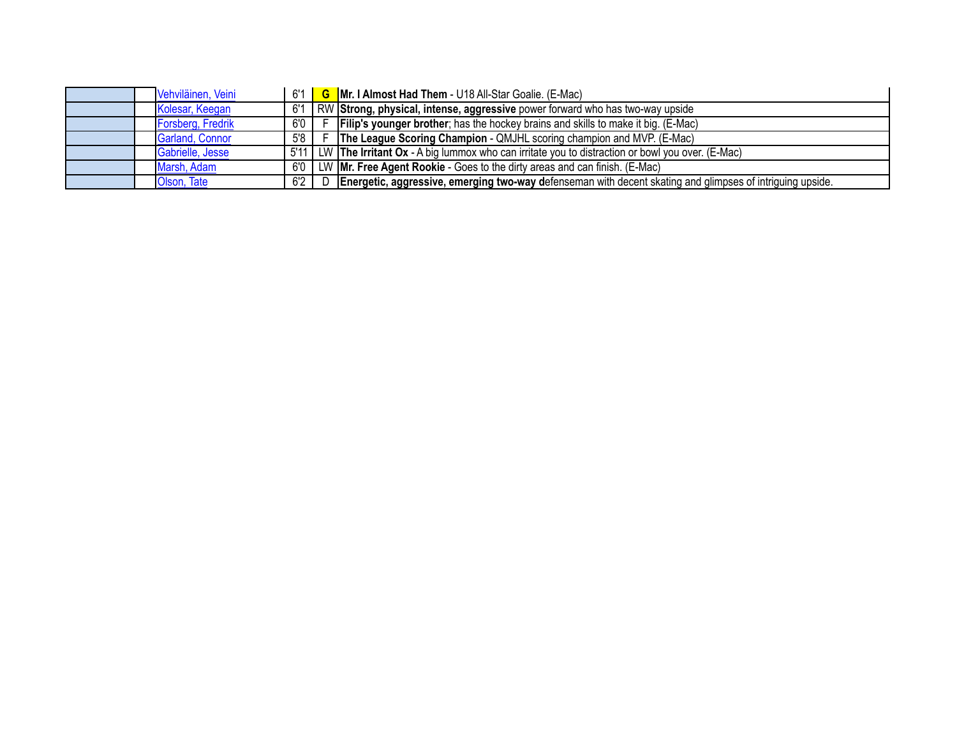|  | Vehviläinen, Veini | 6'1  | <b>G</b> Mr. I Almost Had Them - U18 All-Star Goalie. (E-Mac)                                             |
|--|--------------------|------|-----------------------------------------------------------------------------------------------------------|
|  | Kolesar, Keegan    |      | RW Strong, physical, intense, aggressive power forward who has two-way upside                             |
|  | Forsberg, Fredrik  | 6'0  | <b>Filip's younger brother</b> ; has the hockey brains and skills to make it big. (E-Mac)                 |
|  | Garland, Connor    | 5'8  | <b>The League Scoring Champion - QMJHL scoring champion and MVP. (E-Mac)</b>                              |
|  | Gabrielle, Jesse   | 5'11 | LW The Irritant Ox - A big lummox who can irritate you to distraction or bowl you over. (E-Mac)           |
|  | Marsh, Adam        | 6'0  | LW <b>Mr. Free Agent Rookie</b> - Goes to the dirty areas and can finish. (E-Mac)                         |
|  | Olson, Tate        | 6'2  | Energetic, aggressive, emerging two-way defenseman with decent skating and glimpses of intriguing upside. |